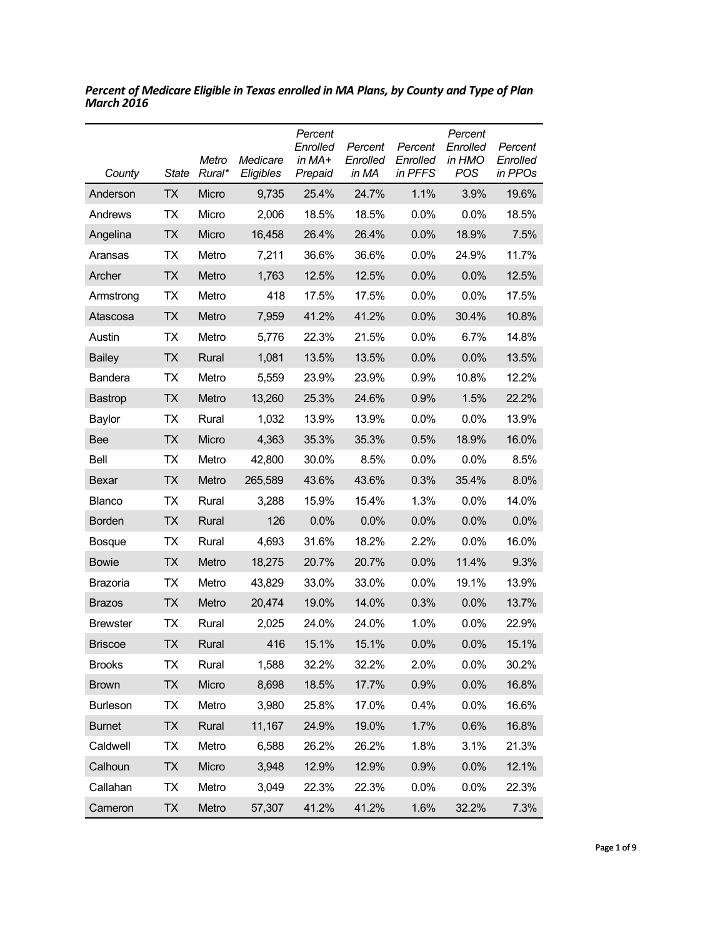| County          | <b>State</b> | Metro<br>Rural* | Medicare<br>Eligibles | Percent<br>Enrolled<br>in MA+<br>Prepaid | Percent<br>Enrolled<br>in MA | Percent<br>Enrolled<br>in PFFS | Percent<br>Enrolled<br>in HMO<br><b>POS</b> | Percent<br>Enrolled<br>in PPOs |
|-----------------|--------------|-----------------|-----------------------|------------------------------------------|------------------------------|--------------------------------|---------------------------------------------|--------------------------------|
| Anderson        | <b>TX</b>    | Micro           | 9,735                 | 25.4%                                    | 24.7%                        | 1.1%                           | 3.9%                                        | 19.6%                          |
| Andrews         | ТX           | Micro           | 2,006                 | 18.5%                                    | 18.5%                        | 0.0%                           | 0.0%                                        | 18.5%                          |
| Angelina        | <b>TX</b>    | Micro           | 16,458                | 26.4%                                    | 26.4%                        | 0.0%                           | 18.9%                                       | 7.5%                           |
| Aransas         | <b>TX</b>    | Metro           | 7,211                 | 36.6%                                    | 36.6%                        | 0.0%                           | 24.9%                                       | 11.7%                          |
| Archer          | <b>TX</b>    | Metro           | 1,763                 | 12.5%                                    | 12.5%                        | 0.0%                           | 0.0%                                        | 12.5%                          |
| Armstrong       | <b>TX</b>    | Metro           | 418                   | 17.5%                                    | 17.5%                        | 0.0%                           | 0.0%                                        | 17.5%                          |
| Atascosa        | <b>TX</b>    | Metro           | 7,959                 | 41.2%                                    | 41.2%                        | 0.0%                           | 30.4%                                       | 10.8%                          |
| Austin          | <b>TX</b>    | Metro           | 5,776                 | 22.3%                                    | 21.5%                        | 0.0%                           | 6.7%                                        | 14.8%                          |
| <b>Bailey</b>   | <b>TX</b>    | Rural           | 1,081                 | 13.5%                                    | 13.5%                        | 0.0%                           | 0.0%                                        | 13.5%                          |
| Bandera         | <b>TX</b>    | Metro           | 5,559                 | 23.9%                                    | 23.9%                        | 0.9%                           | 10.8%                                       | 12.2%                          |
| <b>Bastrop</b>  | <b>TX</b>    | Metro           | 13,260                | 25.3%                                    | 24.6%                        | 0.9%                           | 1.5%                                        | 22.2%                          |
| Baylor          | <b>TX</b>    | Rural           | 1,032                 | 13.9%                                    | 13.9%                        | 0.0%                           | 0.0%                                        | 13.9%                          |
| <b>Bee</b>      | TX           | Micro           | 4,363                 | 35.3%                                    | 35.3%                        | 0.5%                           | 18.9%                                       | 16.0%                          |
| Bell            | <b>TX</b>    | Metro           | 42,800                | 30.0%                                    | 8.5%                         | 0.0%                           | 0.0%                                        | 8.5%                           |
| Bexar           | <b>TX</b>    | Metro           | 265,589               | 43.6%                                    | 43.6%                        | 0.3%                           | 35.4%                                       | 8.0%                           |
| <b>Blanco</b>   | ТX           | Rural           | 3,288                 | 15.9%                                    | 15.4%                        | 1.3%                           | 0.0%                                        | 14.0%                          |
| <b>Borden</b>   | <b>TX</b>    | Rural           | 126                   | 0.0%                                     | 0.0%                         | 0.0%                           | 0.0%                                        | 0.0%                           |
| <b>Bosque</b>   | ТX           | Rural           | 4,693                 | 31.6%                                    | 18.2%                        | 2.2%                           | $0.0\%$                                     | 16.0%                          |
| <b>Bowie</b>    | <b>TX</b>    | Metro           | 18,275                | 20.7%                                    | 20.7%                        | 0.0%                           | 11.4%                                       | 9.3%                           |
| Brazoria        | ТX           | Metro           | 43,829                | 33.0%                                    | 33.0%                        | 0.0%                           | 19.1%                                       | 13.9%                          |
| <b>Brazos</b>   | <b>TX</b>    | Metro           | 20,474                | 19.0%                                    | 14.0%                        | 0.3%                           | 0.0%                                        | 13.7%                          |
| <b>Brewster</b> | ТX           | Rural           | 2,025                 | 24.0%                                    | 24.0%                        | 1.0%                           | 0.0%                                        | 22.9%                          |
| <b>Briscoe</b>  | <b>TX</b>    | Rural           | 416                   | 15.1%                                    | 15.1%                        | 0.0%                           | 0.0%                                        | 15.1%                          |
| <b>Brooks</b>   | TX           | Rural           | 1,588                 | 32.2%                                    | 32.2%                        | 2.0%                           | 0.0%                                        | 30.2%                          |
| <b>Brown</b>    | <b>TX</b>    | Micro           | 8,698                 | 18.5%                                    | 17.7%                        | 0.9%                           | 0.0%                                        | 16.8%                          |
| <b>Burleson</b> | <b>TX</b>    | Metro           | 3,980                 | 25.8%                                    | 17.0%                        | 0.4%                           | 0.0%                                        | 16.6%                          |
| <b>Burnet</b>   | <b>TX</b>    | Rural           | 11,167                | 24.9%                                    | 19.0%                        | 1.7%                           | 0.6%                                        | 16.8%                          |
| Caldwell        | TX           | Metro           | 6,588                 | 26.2%                                    | 26.2%                        | 1.8%                           | 3.1%                                        | 21.3%                          |
| Calhoun         | <b>TX</b>    | Micro           | 3,948                 | 12.9%                                    | 12.9%                        | 0.9%                           | 0.0%                                        | 12.1%                          |
| Callahan        | <b>TX</b>    | Metro           | 3,049                 | 22.3%                                    | 22.3%                        | 0.0%                           | 0.0%                                        | 22.3%                          |
| Cameron         | <b>TX</b>    | Metro           | 57,307                | 41.2%                                    | 41.2%                        | 1.6%                           | 32.2%                                       | 7.3%                           |

*Percent of Medicare Eligible in Texas enrolled in MA Plans, by County and Type of Plan March 2016*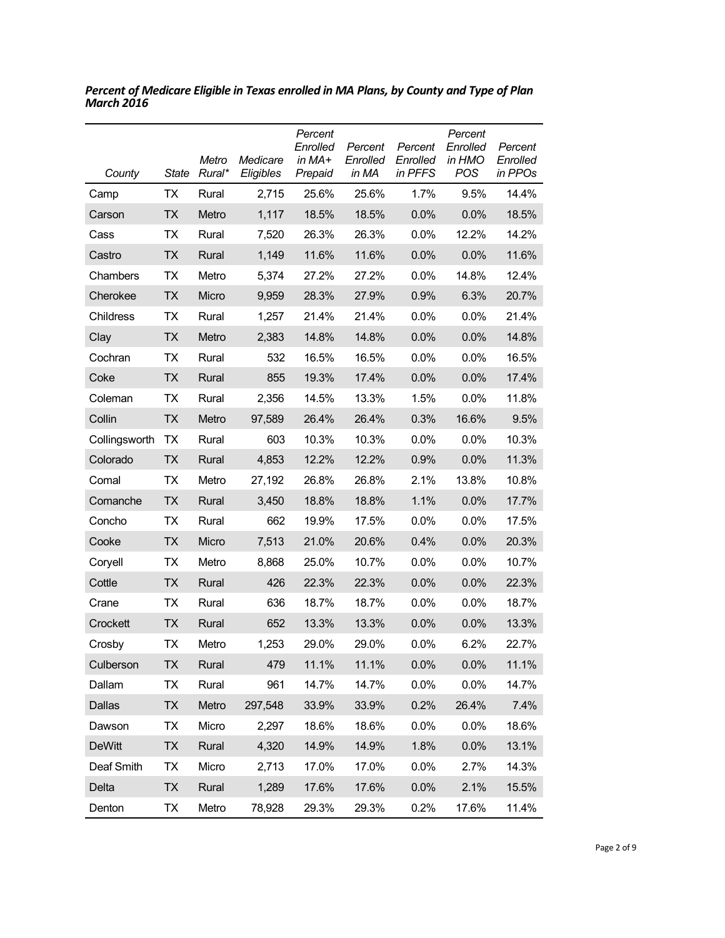| County        | <b>State</b> | Metro<br>Rural* | Medicare<br>Eligibles | Percent<br>Enrolled<br>in $MA+$<br>Prepaid | Percent<br>Enrolled<br>in MA | Percent<br>Enrolled<br>in PFFS | Percent<br>Enrolled<br>in HMO<br>POS | Percent<br>Enrolled<br>in PPOs |
|---------------|--------------|-----------------|-----------------------|--------------------------------------------|------------------------------|--------------------------------|--------------------------------------|--------------------------------|
| Camp          | <b>TX</b>    | Rural           | 2,715                 | 25.6%                                      | 25.6%                        | 1.7%                           | 9.5%                                 | 14.4%                          |
| Carson        | <b>TX</b>    | Metro           | 1,117                 | 18.5%                                      | 18.5%                        | 0.0%                           | 0.0%                                 | 18.5%                          |
| Cass          | ТX           | Rural           | 7,520                 | 26.3%                                      | 26.3%                        | 0.0%                           | 12.2%                                | 14.2%                          |
| Castro        | TX           | Rural           | 1,149                 | 11.6%                                      | 11.6%                        | 0.0%                           | 0.0%                                 | 11.6%                          |
| Chambers      | ТX           | Metro           | 5,374                 | 27.2%                                      | 27.2%                        | 0.0%                           | 14.8%                                | 12.4%                          |
| Cherokee      | <b>TX</b>    | Micro           | 9,959                 | 28.3%                                      | 27.9%                        | 0.9%                           | 6.3%                                 | 20.7%                          |
| Childress     | <b>TX</b>    | Rural           | 1,257                 | 21.4%                                      | 21.4%                        | 0.0%                           | 0.0%                                 | 21.4%                          |
| Clay          | <b>TX</b>    | Metro           | 2,383                 | 14.8%                                      | 14.8%                        | 0.0%                           | 0.0%                                 | 14.8%                          |
| Cochran       | <b>TX</b>    | Rural           | 532                   | 16.5%                                      | 16.5%                        | 0.0%                           | 0.0%                                 | 16.5%                          |
| Coke          | <b>TX</b>    | Rural           | 855                   | 19.3%                                      | 17.4%                        | 0.0%                           | 0.0%                                 | 17.4%                          |
| Coleman       | TX           | Rural           | 2,356                 | 14.5%                                      | 13.3%                        | 1.5%                           | 0.0%                                 | 11.8%                          |
| Collin        | <b>TX</b>    | Metro           | 97,589                | 26.4%                                      | 26.4%                        | 0.3%                           | 16.6%                                | 9.5%                           |
| Collingsworth | <b>TX</b>    | Rural           | 603                   | 10.3%                                      | 10.3%                        | 0.0%                           | 0.0%                                 | 10.3%                          |
| Colorado      | <b>TX</b>    | Rural           | 4,853                 | 12.2%                                      | 12.2%                        | 0.9%                           | 0.0%                                 | 11.3%                          |
| Comal         | ТX           | Metro           | 27,192                | 26.8%                                      | 26.8%                        | 2.1%                           | 13.8%                                | 10.8%                          |
| Comanche      | <b>TX</b>    | Rural           | 3,450                 | 18.8%                                      | 18.8%                        | 1.1%                           | 0.0%                                 | 17.7%                          |
| Concho        | <b>TX</b>    | Rural           | 662                   | 19.9%                                      | 17.5%                        | 0.0%                           | 0.0%                                 | 17.5%                          |
| Cooke         | <b>TX</b>    | Micro           | 7,513                 | 21.0%                                      | 20.6%                        | 0.4%                           | 0.0%                                 | 20.3%                          |
| Coryell       | ТX           | Metro           | 8,868                 | 25.0%                                      | 10.7%                        | 0.0%                           | 0.0%                                 | 10.7%                          |
| Cottle        | TX           | Rural           | 426                   | 22.3%                                      | 22.3%                        | 0.0%                           | 0.0%                                 | 22.3%                          |
| Crane         | ТX           | Rural           | 636                   | 18.7%                                      | 18.7%                        | 0.0%                           | 0.0%                                 | 18.7%                          |
| Crockett      | ТX           | Rural           | 652                   | 13.3%                                      | 13.3%                        | 0.0%                           | 0.0%                                 | 13.3%                          |
| Crosby        | ТX           | Metro           | 1,253                 | 29.0%                                      | 29.0%                        | 0.0%                           | 6.2%                                 | 22.7%                          |
| Culberson     | <b>TX</b>    | Rural           | 479                   | 11.1%                                      | 11.1%                        | 0.0%                           | 0.0%                                 | 11.1%                          |
| Dallam        | <b>TX</b>    | Rural           | 961                   | 14.7%                                      | 14.7%                        | 0.0%                           | 0.0%                                 | 14.7%                          |
| Dallas        | <b>TX</b>    | Metro           | 297,548               | 33.9%                                      | 33.9%                        | 0.2%                           | 26.4%                                | 7.4%                           |
| Dawson        | <b>TX</b>    | Micro           | 2,297                 | 18.6%                                      | 18.6%                        | 0.0%                           | 0.0%                                 | 18.6%                          |
| <b>DeWitt</b> | <b>TX</b>    | Rural           | 4,320                 | 14.9%                                      | 14.9%                        | 1.8%                           | 0.0%                                 | 13.1%                          |
| Deaf Smith    | <b>TX</b>    | Micro           | 2,713                 | 17.0%                                      | 17.0%                        | 0.0%                           | 2.7%                                 | 14.3%                          |
| Delta         | <b>TX</b>    | Rural           | 1,289                 | 17.6%                                      | 17.6%                        | 0.0%                           | 2.1%                                 | 15.5%                          |
| Denton        | <b>TX</b>    | Metro           | 78,928                | 29.3%                                      | 29.3%                        | 0.2%                           | 17.6%                                | 11.4%                          |

*Percent of Medicare Eligible in Texas enrolled in MA Plans, by County and Type of Plan March 2016*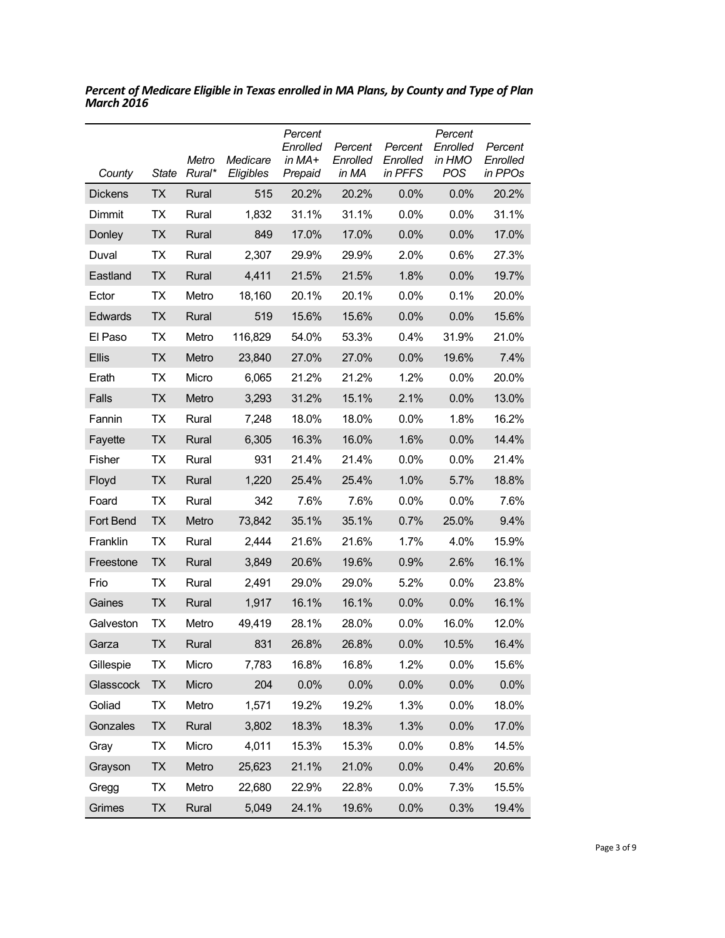| County         | <b>State</b> | Metro<br>Rural* | Medicare<br>Eligibles | Percent<br>Enrolled<br>in MA+<br>Prepaid | Percent<br>Enrolled<br>in MA | Percent<br>Enrolled<br>in PFFS | Percent<br>Enrolled<br>in HMO<br><b>POS</b> | Percent<br>Enrolled<br>in PPOs |
|----------------|--------------|-----------------|-----------------------|------------------------------------------|------------------------------|--------------------------------|---------------------------------------------|--------------------------------|
| <b>Dickens</b> | <b>TX</b>    | Rural           | 515                   | 20.2%                                    | 20.2%                        | 0.0%                           | 0.0%                                        | 20.2%                          |
| Dimmit         | TX           | Rural           | 1,832                 | 31.1%                                    | 31.1%                        | 0.0%                           | 0.0%                                        | 31.1%                          |
| Donley         | <b>TX</b>    | Rural           | 849                   | 17.0%                                    | 17.0%                        | 0.0%                           | 0.0%                                        | 17.0%                          |
| Duval          | <b>TX</b>    | Rural           | 2,307                 | 29.9%                                    | 29.9%                        | 2.0%                           | 0.6%                                        | 27.3%                          |
| Eastland       | <b>TX</b>    | Rural           | 4,411                 | 21.5%                                    | 21.5%                        | 1.8%                           | 0.0%                                        | 19.7%                          |
| Ector          | ТX           | Metro           | 18,160                | 20.1%                                    | 20.1%                        | 0.0%                           | 0.1%                                        | 20.0%                          |
| Edwards        | <b>TX</b>    | Rural           | 519                   | 15.6%                                    | 15.6%                        | 0.0%                           | 0.0%                                        | 15.6%                          |
| El Paso        | <b>TX</b>    | Metro           | 116,829               | 54.0%                                    | 53.3%                        | 0.4%                           | 31.9%                                       | 21.0%                          |
| Ellis          | <b>TX</b>    | Metro           | 23,840                | 27.0%                                    | 27.0%                        | 0.0%                           | 19.6%                                       | 7.4%                           |
| Erath          | <b>TX</b>    | Micro           | 6,065                 | 21.2%                                    | 21.2%                        | 1.2%                           | 0.0%                                        | 20.0%                          |
| <b>Falls</b>   | <b>TX</b>    | Metro           | 3,293                 | 31.2%                                    | 15.1%                        | 2.1%                           | 0.0%                                        | 13.0%                          |
| Fannin         | <b>TX</b>    | Rural           | 7,248                 | 18.0%                                    | 18.0%                        | 0.0%                           | 1.8%                                        | 16.2%                          |
| Fayette        | <b>TX</b>    | Rural           | 6,305                 | 16.3%                                    | 16.0%                        | 1.6%                           | 0.0%                                        | 14.4%                          |
| Fisher         | ТX           | Rural           | 931                   | 21.4%                                    | 21.4%                        | 0.0%                           | 0.0%                                        | 21.4%                          |
| Floyd          | ТX           | Rural           | 1,220                 | 25.4%                                    | 25.4%                        | 1.0%                           | 5.7%                                        | 18.8%                          |
| Foard          | ТX           | Rural           | 342                   | 7.6%                                     | 7.6%                         | 0.0%                           | 0.0%                                        | 7.6%                           |
| Fort Bend      | TX           | Metro           | 73,842                | 35.1%                                    | 35.1%                        | 0.7%                           | 25.0%                                       | 9.4%                           |
| Franklin       | ТX           | Rural           | 2,444                 | 21.6%                                    | 21.6%                        | 1.7%                           | 4.0%                                        | 15.9%                          |
| Freestone      | TX           | Rural           | 3,849                 | 20.6%                                    | 19.6%                        | 0.9%                           | 2.6%                                        | 16.1%                          |
| Frio           | ТX           | Rural           | 2,491                 | 29.0%                                    | 29.0%                        | 5.2%                           | 0.0%                                        | 23.8%                          |
| Gaines         | <b>TX</b>    | Rural           | 1,917                 | 16.1%                                    | 16.1%                        | 0.0%                           | 0.0%                                        | 16.1%                          |
| Galveston      | ТX           | Metro           | 49,419                | 28.1%                                    | 28.0%                        | 0.0%                           | 16.0%                                       | 12.0%                          |
| Garza          | ТX           | Rural           | 831                   | 26.8%                                    | 26.8%                        | 0.0%                           | 10.5%                                       | 16.4%                          |
| Gillespie      | TX           | Micro           | 7,783                 | 16.8%                                    | 16.8%                        | 1.2%                           | 0.0%                                        | 15.6%                          |
| Glasscock      | <b>TX</b>    | Micro           | 204                   | 0.0%                                     | 0.0%                         | 0.0%                           | 0.0%                                        | 0.0%                           |
| Goliad         | TX           | Metro           | 1,571                 | 19.2%                                    | 19.2%                        | 1.3%                           | 0.0%                                        | 18.0%                          |
| Gonzales       | <b>TX</b>    | Rural           | 3,802                 | 18.3%                                    | 18.3%                        | 1.3%                           | 0.0%                                        | 17.0%                          |
| Gray           | TX           | Micro           | 4,011                 | 15.3%                                    | 15.3%                        | 0.0%                           | 0.8%                                        | 14.5%                          |
| Grayson        | <b>TX</b>    | Metro           | 25,623                | 21.1%                                    | 21.0%                        | 0.0%                           | 0.4%                                        | 20.6%                          |
| Gregg          | TX           | Metro           | 22,680                | 22.9%                                    | 22.8%                        | 0.0%                           | 7.3%                                        | 15.5%                          |
| Grimes         | TX           | Rural           | 5,049                 | 24.1%                                    | 19.6%                        | 0.0%                           | 0.3%                                        | 19.4%                          |

*Percent of Medicare Eligible in Texas enrolled in MA Plans, by County and Type of Plan March 2016*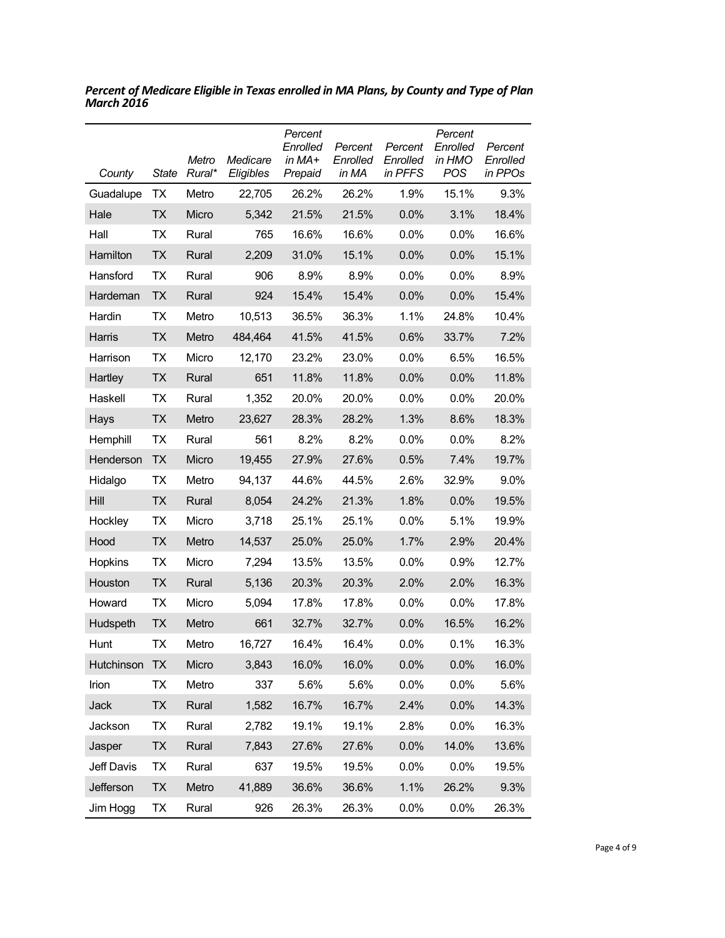| County     | State     | Metro<br>Rural* | Medicare<br>Eligibles | Percent<br>Enrolled<br>in MA+<br>Prepaid | Percent<br>Enrolled<br>in MA | Percent<br>Enrolled<br>in PFFS | Percent<br>Enrolled<br>in HMO<br>POS | Percent<br>Enrolled<br>in PPOs |
|------------|-----------|-----------------|-----------------------|------------------------------------------|------------------------------|--------------------------------|--------------------------------------|--------------------------------|
| Guadalupe  | TX        | Metro           | 22,705                | 26.2%                                    | 26.2%                        | 1.9%                           | 15.1%                                | 9.3%                           |
| Hale       | <b>TX</b> | Micro           | 5,342                 | 21.5%                                    | 21.5%                        | 0.0%                           | 3.1%                                 | 18.4%                          |
| Hall       | <b>TX</b> | Rural           | 765                   | 16.6%                                    | 16.6%                        | 0.0%                           | 0.0%                                 | 16.6%                          |
| Hamilton   | <b>TX</b> | Rural           | 2,209                 | 31.0%                                    | 15.1%                        | 0.0%                           | 0.0%                                 | 15.1%                          |
| Hansford   | ТX        | Rural           | 906                   | 8.9%                                     | 8.9%                         | 0.0%                           | 0.0%                                 | 8.9%                           |
| Hardeman   | <b>TX</b> | Rural           | 924                   | 15.4%                                    | 15.4%                        | 0.0%                           | 0.0%                                 | 15.4%                          |
| Hardin     | ТX        | Metro           | 10,513                | 36.5%                                    | 36.3%                        | 1.1%                           | 24.8%                                | 10.4%                          |
| Harris     | <b>TX</b> | Metro           | 484,464               | 41.5%                                    | 41.5%                        | 0.6%                           | 33.7%                                | 7.2%                           |
| Harrison   | <b>TX</b> | Micro           | 12,170                | 23.2%                                    | 23.0%                        | 0.0%                           | 6.5%                                 | 16.5%                          |
| Hartley    | <b>TX</b> | Rural           | 651                   | 11.8%                                    | 11.8%                        | 0.0%                           | 0.0%                                 | 11.8%                          |
| Haskell    | TX        | Rural           | 1,352                 | 20.0%                                    | 20.0%                        | 0.0%                           | $0.0\%$                              | 20.0%                          |
| Hays       | <b>TX</b> | Metro           | 23,627                | 28.3%                                    | 28.2%                        | 1.3%                           | 8.6%                                 | 18.3%                          |
| Hemphill   | <b>TX</b> | Rural           | 561                   | 8.2%                                     | 8.2%                         | 0.0%                           | 0.0%                                 | 8.2%                           |
| Henderson  | <b>TX</b> | Micro           | 19,455                | 27.9%                                    | 27.6%                        | 0.5%                           | 7.4%                                 | 19.7%                          |
| Hidalgo    | ТX        | Metro           | 94,137                | 44.6%                                    | 44.5%                        | 2.6%                           | 32.9%                                | 9.0%                           |
| Hill       | <b>TX</b> | Rural           | 8,054                 | 24.2%                                    | 21.3%                        | 1.8%                           | 0.0%                                 | 19.5%                          |
| Hockley    | TX        | Micro           | 3,718                 | 25.1%                                    | 25.1%                        | 0.0%                           | 5.1%                                 | 19.9%                          |
| Hood       | <b>TX</b> | Metro           | 14,537                | 25.0%                                    | 25.0%                        | 1.7%                           | 2.9%                                 | 20.4%                          |
| Hopkins    | <b>TX</b> | Micro           | 7,294                 | 13.5%                                    | 13.5%                        | 0.0%                           | 0.9%                                 | 12.7%                          |
| Houston    | <b>TX</b> | Rural           | 5,136                 | 20.3%                                    | 20.3%                        | 2.0%                           | 2.0%                                 | 16.3%                          |
| Howard     | <b>TX</b> | Micro           | 5,094                 | 17.8%                                    | 17.8%                        | 0.0%                           | 0.0%                                 | 17.8%                          |
| Hudspeth   | <b>TX</b> | Metro           | 661                   | 32.7%                                    | 32.7%                        | 0.0%                           | 16.5%                                | 16.2%                          |
| Hunt       | ТX        | Metro           | 16,727                | 16.4%                                    | 16.4%                        | 0.0%                           | 0.1%                                 | 16.3%                          |
| Hutchinson | <b>TX</b> | Micro           | 3,843                 | 16.0%                                    | 16.0%                        | 0.0%                           | 0.0%                                 | 16.0%                          |
| Irion      | <b>TX</b> | Metro           | 337                   | 5.6%                                     | 5.6%                         | 0.0%                           | 0.0%                                 | 5.6%                           |
| Jack       | <b>TX</b> | Rural           | 1,582                 | 16.7%                                    | 16.7%                        | 2.4%                           | 0.0%                                 | 14.3%                          |
| Jackson    | <b>TX</b> | Rural           | 2,782                 | 19.1%                                    | 19.1%                        | 2.8%                           | 0.0%                                 | 16.3%                          |
| Jasper     | <b>TX</b> | Rural           | 7,843                 | 27.6%                                    | 27.6%                        | 0.0%                           | 14.0%                                | 13.6%                          |
| Jeff Davis | <b>TX</b> | Rural           | 637                   | 19.5%                                    | 19.5%                        | 0.0%                           | 0.0%                                 | 19.5%                          |
| Jefferson  | <b>TX</b> | Metro           | 41,889                | 36.6%                                    | 36.6%                        | 1.1%                           | 26.2%                                | 9.3%                           |
| Jim Hogg   | TX        | Rural           | 926                   | 26.3%                                    | 26.3%                        | 0.0%                           | 0.0%                                 | 26.3%                          |

*Percent of Medicare Eligible in Texas enrolled in MA Plans, by County and Type of Plan March 2016*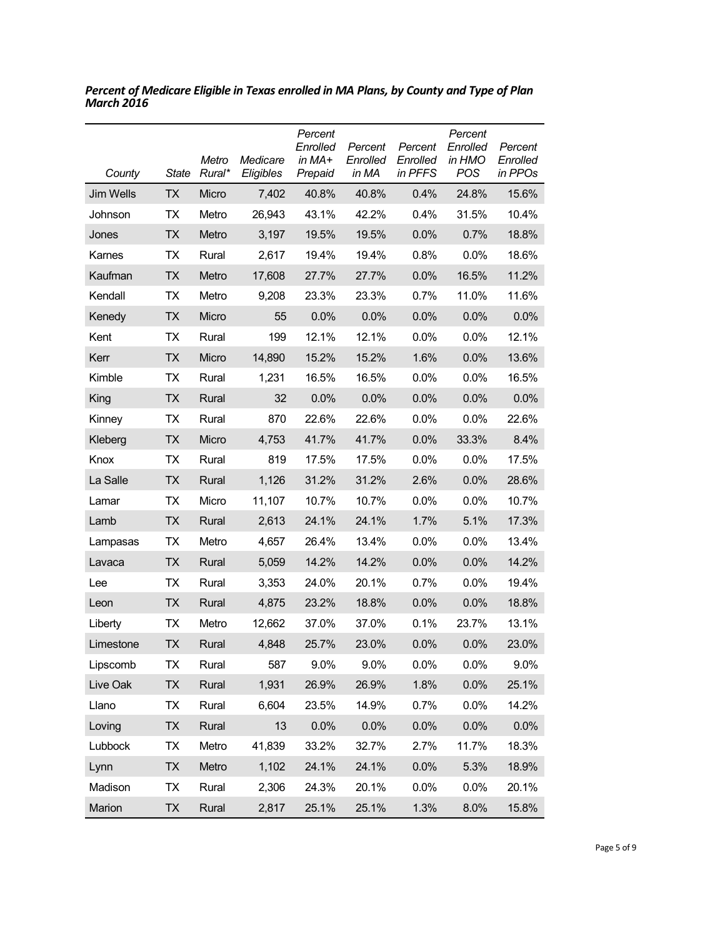| County           | <b>State</b> | Metro<br>Rural* | Medicare<br>Eligibles | Percent<br>Enrolled<br>in $MA+$<br>Prepaid | Percent<br>Enrolled<br>in MA | Percent<br>Enrolled<br>in PFFS | Percent<br>Enrolled<br>in HMO<br><b>POS</b> | Percent<br>Enrolled<br>in PPOs |
|------------------|--------------|-----------------|-----------------------|--------------------------------------------|------------------------------|--------------------------------|---------------------------------------------|--------------------------------|
| <b>Jim Wells</b> | <b>TX</b>    | Micro           | 7,402                 | 40.8%                                      | 40.8%                        | 0.4%                           | 24.8%                                       | 15.6%                          |
| Johnson          | ТX           | Metro           | 26,943                | 43.1%                                      | 42.2%                        | 0.4%                           | 31.5%                                       | 10.4%                          |
| Jones            | <b>TX</b>    | Metro           | 3,197                 | 19.5%                                      | 19.5%                        | 0.0%                           | 0.7%                                        | 18.8%                          |
| Karnes           | ТX           | Rural           | 2,617                 | 19.4%                                      | 19.4%                        | 0.8%                           | 0.0%                                        | 18.6%                          |
| Kaufman          | <b>TX</b>    | Metro           | 17,608                | 27.7%                                      | 27.7%                        | 0.0%                           | 16.5%                                       | 11.2%                          |
| Kendall          | TX           | Metro           | 9,208                 | 23.3%                                      | 23.3%                        | 0.7%                           | 11.0%                                       | 11.6%                          |
| Kenedy           | <b>TX</b>    | Micro           | 55                    | 0.0%                                       | 0.0%                         | 0.0%                           | 0.0%                                        | 0.0%                           |
| Kent             | TX           | Rural           | 199                   | 12.1%                                      | 12.1%                        | 0.0%                           | 0.0%                                        | 12.1%                          |
| Kerr             | <b>TX</b>    | Micro           | 14,890                | 15.2%                                      | 15.2%                        | 1.6%                           | 0.0%                                        | 13.6%                          |
| Kimble           | TX           | Rural           | 1,231                 | 16.5%                                      | 16.5%                        | 0.0%                           | $0.0\%$                                     | 16.5%                          |
| King             | TX           | Rural           | 32                    | 0.0%                                       | 0.0%                         | 0.0%                           | 0.0%                                        | 0.0%                           |
| Kinney           | ТX           | Rural           | 870                   | 22.6%                                      | 22.6%                        | 0.0%                           | $0.0\%$                                     | 22.6%                          |
| Kleberg          | TX           | Micro           | 4,753                 | 41.7%                                      | 41.7%                        | 0.0%                           | 33.3%                                       | 8.4%                           |
| Knox             | ТX           | Rural           | 819                   | 17.5%                                      | 17.5%                        | 0.0%                           | 0.0%                                        | 17.5%                          |
| La Salle         | TX           | Rural           | 1,126                 | 31.2%                                      | 31.2%                        | 2.6%                           | 0.0%                                        | 28.6%                          |
| Lamar            | ТX           | Micro           | 11,107                | 10.7%                                      | 10.7%                        | 0.0%                           | 0.0%                                        | 10.7%                          |
| Lamb             | <b>TX</b>    | Rural           | 2,613                 | 24.1%                                      | 24.1%                        | 1.7%                           | 5.1%                                        | 17.3%                          |
| Lampasas         | TX           | Metro           | 4,657                 | 26.4%                                      | 13.4%                        | 0.0%                           | 0.0%                                        | 13.4%                          |
| Lavaca           | <b>TX</b>    | Rural           | 5,059                 | 14.2%                                      | 14.2%                        | 0.0%                           | 0.0%                                        | 14.2%                          |
| Lee              | ТX           | Rural           | 3,353                 | 24.0%                                      | 20.1%                        | 0.7%                           | $0.0\%$                                     | 19.4%                          |
| Leon             | TX           | Rural           | 4,875                 | 23.2%                                      | 18.8%                        | 0.0%                           | 0.0%                                        | 18.8%                          |
| Liberty          | ТX           | Metro           | 12.662                | 37.0%                                      | 37.0%                        | 0.1%                           | 23.7%                                       | 13.1%                          |
| Limestone        | <b>TX</b>    | Rural           | 4,848                 | 25.7%                                      | 23.0%                        | 0.0%                           | 0.0%                                        | 23.0%                          |
| Lipscomb         | TX           | Rural           | 587                   | 9.0%                                       | 9.0%                         | 0.0%                           | 0.0%                                        | 9.0%                           |
| Live Oak         | <b>TX</b>    | Rural           | 1,931                 | 26.9%                                      | 26.9%                        | 1.8%                           | 0.0%                                        | 25.1%                          |
| Llano            | TX           | Rural           | 6,604                 | 23.5%                                      | 14.9%                        | 0.7%                           | 0.0%                                        | 14.2%                          |
| Loving           | <b>TX</b>    | Rural           | 13                    | 0.0%                                       | 0.0%                         | 0.0%                           | 0.0%                                        | 0.0%                           |
| Lubbock          | TX           | Metro           | 41,839                | 33.2%                                      | 32.7%                        | 2.7%                           | 11.7%                                       | 18.3%                          |
| Lynn             | <b>TX</b>    | Metro           | 1,102                 | 24.1%                                      | 24.1%                        | 0.0%                           | 5.3%                                        | 18.9%                          |
| Madison          | <b>TX</b>    | Rural           | 2,306                 | 24.3%                                      | 20.1%                        | 0.0%                           | 0.0%                                        | 20.1%                          |
| Marion           | <b>TX</b>    | Rural           | 2,817                 | 25.1%                                      | 25.1%                        | 1.3%                           | 8.0%                                        | 15.8%                          |

*Percent of Medicare Eligible in Texas enrolled in MA Plans, by County and Type of Plan March 2016*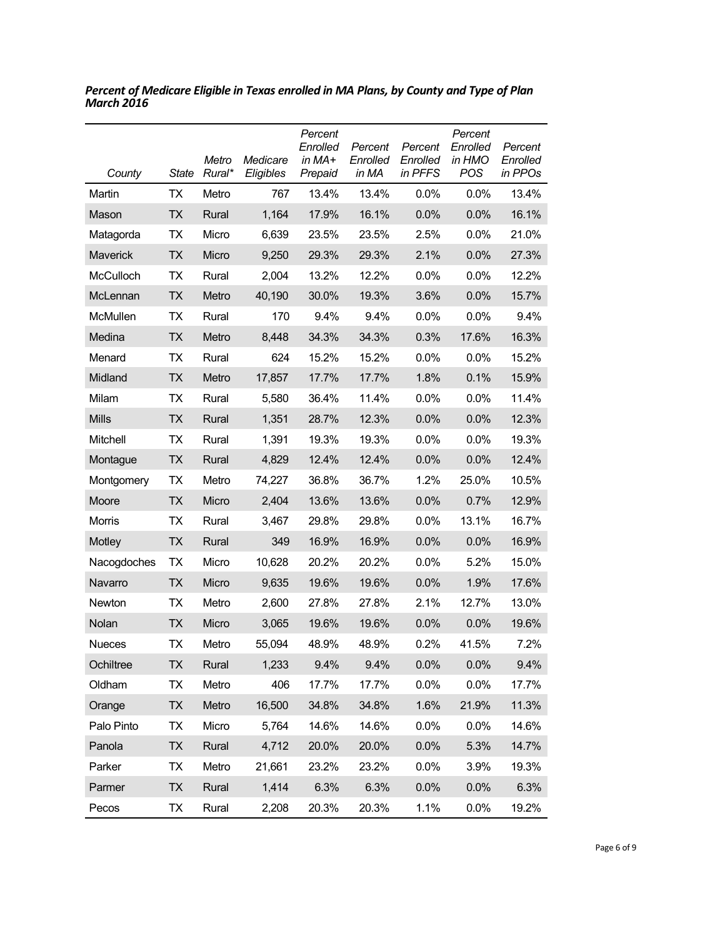| County          | State     | Metro<br>Rural* | Medicare<br>Eligibles | Percent<br>Enrolled<br>in MA+<br>Prepaid | Percent<br>Enrolled<br>in MA | Percent<br>Enrolled<br>in PFFS | Percent<br>Enrolled<br>in HMO<br><b>POS</b> | Percent<br>Enrolled<br>in PPOs |
|-----------------|-----------|-----------------|-----------------------|------------------------------------------|------------------------------|--------------------------------|---------------------------------------------|--------------------------------|
| Martin          | ТX        | Metro           | 767                   | 13.4%                                    | 13.4%                        | 0.0%                           | $0.0\%$                                     | 13.4%                          |
| Mason           | ТX        | Rural           | 1,164                 | 17.9%                                    | 16.1%                        | 0.0%                           | 0.0%                                        | 16.1%                          |
| Matagorda       | ТX        | Micro           | 6,639                 | 23.5%                                    | 23.5%                        | 2.5%                           | 0.0%                                        | 21.0%                          |
| <b>Maverick</b> | ТX        | Micro           | 9,250                 | 29.3%                                    | 29.3%                        | 2.1%                           | 0.0%                                        | 27.3%                          |
| McCulloch       | ТX        | Rural           | 2,004                 | 13.2%                                    | 12.2%                        | 0.0%                           | $0.0\%$                                     | 12.2%                          |
| McLennan        | ТX        | Metro           | 40,190                | 30.0%                                    | 19.3%                        | 3.6%                           | 0.0%                                        | 15.7%                          |
| McMullen        | ТX        | Rural           | 170                   | 9.4%                                     | 9.4%                         | 0.0%                           | $0.0\%$                                     | 9.4%                           |
| Medina          | <b>TX</b> | Metro           | 8,448                 | 34.3%                                    | 34.3%                        | 0.3%                           | 17.6%                                       | 16.3%                          |
| Menard          | ТX        | Rural           | 624                   | 15.2%                                    | 15.2%                        | 0.0%                           | $0.0\%$                                     | 15.2%                          |
| Midland         | <b>TX</b> | Metro           | 17,857                | 17.7%                                    | 17.7%                        | 1.8%                           | 0.1%                                        | 15.9%                          |
| Milam           | ТX        | Rural           | 5,580                 | 36.4%                                    | 11.4%                        | 0.0%                           | 0.0%                                        | 11.4%                          |
| <b>Mills</b>    | ТX        | Rural           | 1,351                 | 28.7%                                    | 12.3%                        | 0.0%                           | 0.0%                                        | 12.3%                          |
| Mitchell        | ТX        | Rural           | 1,391                 | 19.3%                                    | 19.3%                        | 0.0%                           | $0.0\%$                                     | 19.3%                          |
| Montague        | <b>TX</b> | Rural           | 4,829                 | 12.4%                                    | 12.4%                        | 0.0%                           | 0.0%                                        | 12.4%                          |
| Montgomery      | <b>TX</b> | Metro           | 74,227                | 36.8%                                    | 36.7%                        | 1.2%                           | 25.0%                                       | 10.5%                          |
| Moore           | TX        | Micro           | 2,404                 | 13.6%                                    | 13.6%                        | 0.0%                           | 0.7%                                        | 12.9%                          |
| Morris          | <b>TX</b> | Rural           | 3,467                 | 29.8%                                    | 29.8%                        | 0.0%                           | 13.1%                                       | 16.7%                          |
| Motley          | <b>TX</b> | Rural           | 349                   | 16.9%                                    | 16.9%                        | 0.0%                           | 0.0%                                        | 16.9%                          |
| Nacogdoches     | ТX        | Micro           | 10,628                | 20.2%                                    | 20.2%                        | 0.0%                           | 5.2%                                        | 15.0%                          |
| Navarro         | ТX        | Micro           | 9,635                 | 19.6%                                    | 19.6%                        | 0.0%                           | 1.9%                                        | 17.6%                          |
| Newton          | <b>TX</b> | Metro           | 2,600                 | 27.8%                                    | 27.8%                        | 2.1%                           | 12.7%                                       | 13.0%                          |
| Nolan           | ТX        | Micro           | 3,065                 | 19.6%                                    | 19.6%                        | 0.0%                           | 0.0%                                        | 19.6%                          |
| <b>Nueces</b>   | ТX        | Metro           | 55,094                | 48.9%                                    | 48.9%                        | 0.2%                           | 41.5%                                       | 7.2%                           |
| Ochiltree       | <b>TX</b> | Rural           | 1,233                 | 9.4%                                     | 9.4%                         | 0.0%                           | 0.0%                                        | 9.4%                           |
| Oldham          | TX        | Metro           | 406                   | 17.7%                                    | 17.7%                        | 0.0%                           | 0.0%                                        | 17.7%                          |
| Orange          | <b>TX</b> | Metro           | 16,500                | 34.8%                                    | 34.8%                        | 1.6%                           | 21.9%                                       | 11.3%                          |
| Palo Pinto      | TX        | Micro           | 5,764                 | 14.6%                                    | 14.6%                        | 0.0%                           | 0.0%                                        | 14.6%                          |
| Panola          | <b>TX</b> | Rural           | 4,712                 | 20.0%                                    | 20.0%                        | 0.0%                           | 5.3%                                        | 14.7%                          |
| Parker          | TX        | Metro           | 21,661                | 23.2%                                    | 23.2%                        | 0.0%                           | 3.9%                                        | 19.3%                          |
| Parmer          | <b>TX</b> | Rural           | 1,414                 | 6.3%                                     | 6.3%                         | 0.0%                           | 0.0%                                        | 6.3%                           |
| Pecos           | TX        | Rural           | 2,208                 | 20.3%                                    | 20.3%                        | 1.1%                           | 0.0%                                        | 19.2%                          |

*Percent of Medicare Eligible in Texas enrolled in MA Plans, by County and Type of Plan March 2016*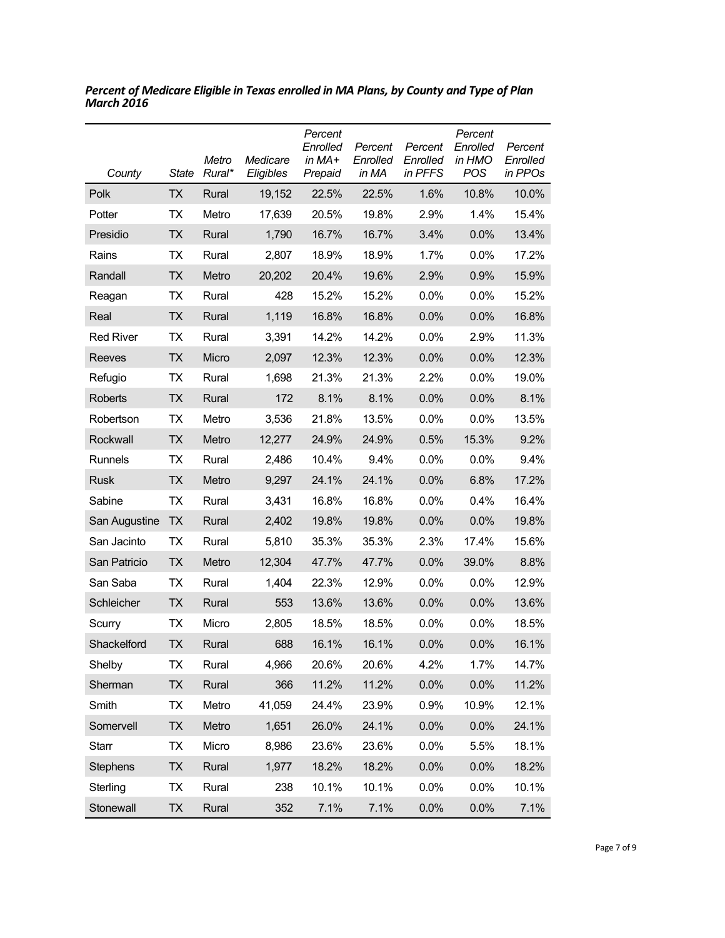| County           | <b>State</b> | Metro<br>Rural* | Medicare<br>Eligibles | Percent<br>Enrolled<br>in $MA+$<br>Prepaid | Percent<br>Enrolled<br>in MA | Percent<br>Enrolled<br>in PFFS | Percent<br>Enrolled<br>in HMO<br><b>POS</b> | Percent<br>Enrolled<br>in PPOs |
|------------------|--------------|-----------------|-----------------------|--------------------------------------------|------------------------------|--------------------------------|---------------------------------------------|--------------------------------|
| Polk             | <b>TX</b>    | Rural           | 19,152                | 22.5%                                      | 22.5%                        | 1.6%                           | 10.8%                                       | 10.0%                          |
| Potter           | ТX           | Metro           | 17,639                | 20.5%                                      | 19.8%                        | 2.9%                           | 1.4%                                        | 15.4%                          |
| Presidio         | <b>TX</b>    | Rural           | 1,790                 | 16.7%                                      | 16.7%                        | 3.4%                           | 0.0%                                        | 13.4%                          |
| Rains            | ТX           | Rural           | 2,807                 | 18.9%                                      | 18.9%                        | 1.7%                           | 0.0%                                        | 17.2%                          |
| Randall          | <b>TX</b>    | Metro           | 20,202                | 20.4%                                      | 19.6%                        | 2.9%                           | 0.9%                                        | 15.9%                          |
| Reagan           | ТX           | Rural           | 428                   | 15.2%                                      | 15.2%                        | 0.0%                           | 0.0%                                        | 15.2%                          |
| Real             | <b>TX</b>    | Rural           | 1,119                 | 16.8%                                      | 16.8%                        | 0.0%                           | 0.0%                                        | 16.8%                          |
| <b>Red River</b> | <b>TX</b>    | Rural           | 3,391                 | 14.2%                                      | 14.2%                        | 0.0%                           | 2.9%                                        | 11.3%                          |
| Reeves           | <b>TX</b>    | Micro           | 2,097                 | 12.3%                                      | 12.3%                        | 0.0%                           | 0.0%                                        | 12.3%                          |
| Refugio          | ТX           | Rural           | 1,698                 | 21.3%                                      | 21.3%                        | 2.2%                           | 0.0%                                        | 19.0%                          |
| Roberts          | <b>TX</b>    | Rural           | 172                   | 8.1%                                       | 8.1%                         | 0.0%                           | 0.0%                                        | 8.1%                           |
| Robertson        | ТX           | Metro           | 3,536                 | 21.8%                                      | 13.5%                        | 0.0%                           | 0.0%                                        | 13.5%                          |
| Rockwall         | <b>TX</b>    | Metro           | 12,277                | 24.9%                                      | 24.9%                        | 0.5%                           | 15.3%                                       | 9.2%                           |
| Runnels          | TX           | Rural           | 2,486                 | 10.4%                                      | 9.4%                         | 0.0%                           | 0.0%                                        | 9.4%                           |
| <b>Rusk</b>      | <b>TX</b>    | Metro           | 9,297                 | 24.1%                                      | 24.1%                        | 0.0%                           | 6.8%                                        | 17.2%                          |
| Sabine           | TX           | Rural           | 3,431                 | 16.8%                                      | 16.8%                        | $0.0\%$                        | 0.4%                                        | 16.4%                          |
| San Augustine    | <b>TX</b>    | Rural           | 2,402                 | 19.8%                                      | 19.8%                        | 0.0%                           | 0.0%                                        | 19.8%                          |
| San Jacinto      | ТX           | Rural           | 5,810                 | 35.3%                                      | 35.3%                        | 2.3%                           | 17.4%                                       | 15.6%                          |
| San Patricio     | <b>TX</b>    | Metro           | 12,304                | 47.7%                                      | 47.7%                        | 0.0%                           | 39.0%                                       | 8.8%                           |
| San Saba         | ТX           | Rural           | 1,404                 | 22.3%                                      | 12.9%                        | 0.0%                           | 0.0%                                        | 12.9%                          |
| Schleicher       | <b>TX</b>    | Rural           | 553                   | 13.6%                                      | 13.6%                        | 0.0%                           | 0.0%                                        | 13.6%                          |
| Scurry           | ТX           | Micro           | 2,805                 | 18.5%                                      | 18.5%                        | $0.0\%$                        | 0.0%                                        | 18.5%                          |
| Shackelford      | <b>TX</b>    | Rural           | 688                   | 16.1%                                      | 16.1%                        | 0.0%                           | 0.0%                                        | 16.1%                          |
| Shelby           | <b>TX</b>    | Rural           | 4,966                 | 20.6%                                      | 20.6%                        | 4.2%                           | 1.7%                                        | 14.7%                          |
| Sherman          | <b>TX</b>    | Rural           | 366                   | 11.2%                                      | 11.2%                        | 0.0%                           | 0.0%                                        | 11.2%                          |
| Smith            | <b>TX</b>    | Metro           | 41,059                | 24.4%                                      | 23.9%                        | 0.9%                           | 10.9%                                       | 12.1%                          |
| Somervell        | <b>TX</b>    | Metro           | 1,651                 | 26.0%                                      | 24.1%                        | 0.0%                           | 0.0%                                        | 24.1%                          |
| <b>Starr</b>     | TX           | Micro           | 8,986                 | 23.6%                                      | 23.6%                        | 0.0%                           | 5.5%                                        | 18.1%                          |
| <b>Stephens</b>  | <b>TX</b>    | Rural           | 1,977                 | 18.2%                                      | 18.2%                        | 0.0%                           | 0.0%                                        | 18.2%                          |
| Sterling         | <b>TX</b>    | Rural           | 238                   | 10.1%                                      | 10.1%                        | 0.0%                           | 0.0%                                        | 10.1%                          |
| Stonewall        | <b>TX</b>    | Rural           | 352                   | 7.1%                                       | 7.1%                         | 0.0%                           | 0.0%                                        | 7.1%                           |

*Percent of Medicare Eligible in Texas enrolled in MA Plans, by County and Type of Plan March 2016*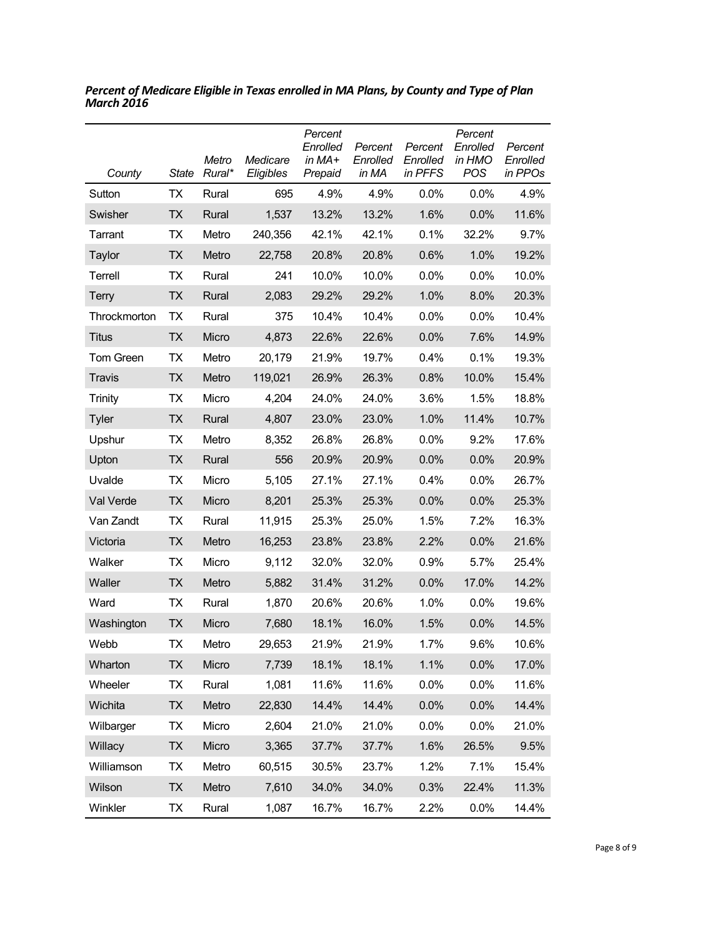| County           | <b>State</b> | Metro<br>Rural* | Medicare<br>Eligibles | Percent<br>Enrolled<br>in $MA+$<br>Prepaid | Percent<br>Enrolled<br>in MA | Percent<br>Enrolled<br>in PFFS | Percent<br>Enrolled<br>in HMO<br><b>POS</b> | Percent<br>Enrolled<br>in PPOs |
|------------------|--------------|-----------------|-----------------------|--------------------------------------------|------------------------------|--------------------------------|---------------------------------------------|--------------------------------|
| Sutton           | ТX           | Rural           | 695                   | 4.9%                                       | 4.9%                         | $0.0\%$                        | $0.0\%$                                     | 4.9%                           |
| Swisher          | <b>TX</b>    | Rural           | 1,537                 | 13.2%                                      | 13.2%                        | 1.6%                           | $0.0\%$                                     | 11.6%                          |
| Tarrant          | TX           | Metro           | 240,356               | 42.1%                                      | 42.1%                        | 0.1%                           | 32.2%                                       | 9.7%                           |
| Taylor           | ТX           | Metro           | 22,758                | 20.8%                                      | 20.8%                        | 0.6%                           | 1.0%                                        | 19.2%                          |
| Terrell          | <b>TX</b>    | Rural           | 241                   | 10.0%                                      | 10.0%                        | 0.0%                           | 0.0%                                        | 10.0%                          |
| Terry            | ТX           | Rural           | 2,083                 | 29.2%                                      | 29.2%                        | 1.0%                           | 8.0%                                        | 20.3%                          |
| Throckmorton     | ТX           | Rural           | 375                   | 10.4%                                      | 10.4%                        | 0.0%                           | 0.0%                                        | 10.4%                          |
| <b>Titus</b>     | <b>TX</b>    | Micro           | 4,873                 | 22.6%                                      | 22.6%                        | 0.0%                           | 7.6%                                        | 14.9%                          |
| <b>Tom Green</b> | ТX           | Metro           | 20,179                | 21.9%                                      | 19.7%                        | 0.4%                           | 0.1%                                        | 19.3%                          |
| Travis           | <b>TX</b>    | Metro           | 119,021               | 26.9%                                      | 26.3%                        | 0.8%                           | 10.0%                                       | 15.4%                          |
| <b>Trinity</b>   | ТX           | Micro           | 4,204                 | 24.0%                                      | 24.0%                        | 3.6%                           | 1.5%                                        | 18.8%                          |
| <b>Tyler</b>     | ТX           | Rural           | 4,807                 | 23.0%                                      | 23.0%                        | 1.0%                           | 11.4%                                       | 10.7%                          |
| Upshur           | ТX           | Metro           | 8,352                 | 26.8%                                      | 26.8%                        | 0.0%                           | 9.2%                                        | 17.6%                          |
| Upton            | ТX           | Rural           | 556                   | 20.9%                                      | 20.9%                        | 0.0%                           | 0.0%                                        | 20.9%                          |
| Uvalde           | ТX           | Micro           | 5,105                 | 27.1%                                      | 27.1%                        | 0.4%                           | 0.0%                                        | 26.7%                          |
| Val Verde        | ТX           | Micro           | 8,201                 | 25.3%                                      | 25.3%                        | 0.0%                           | 0.0%                                        | 25.3%                          |
| Van Zandt        | <b>TX</b>    | Rural           | 11,915                | 25.3%                                      | 25.0%                        | 1.5%                           | 7.2%                                        | 16.3%                          |
| Victoria         | <b>TX</b>    | Metro           | 16,253                | 23.8%                                      | 23.8%                        | 2.2%                           | 0.0%                                        | 21.6%                          |
| Walker           | ТX           | Micro           | 9,112                 | 32.0%                                      | 32.0%                        | 0.9%                           | 5.7%                                        | 25.4%                          |
| Waller           | ТX           | Metro           | 5,882                 | 31.4%                                      | 31.2%                        | 0.0%                           | 17.0%                                       | 14.2%                          |
| Ward             | ТX           | Rural           | 1,870                 | 20.6%                                      | 20.6%                        | 1.0%                           | 0.0%                                        | 19.6%                          |
| Washington       | ТX           | Micro           | 7,680                 | 18.1%                                      | 16.0%                        | 1.5%                           | 0.0%                                        | 14.5%                          |
| Webb             | ТX           | Metro           | 29,653                | 21.9%                                      | 21.9%                        | 1.7%                           | 9.6%                                        | 10.6%                          |
| Wharton          | <b>TX</b>    | Micro           | 7,739                 | 18.1%                                      | 18.1%                        | 1.1%                           | 0.0%                                        | 17.0%                          |
| Wheeler          | TX           | Rural           | 1,081                 | 11.6%                                      | 11.6%                        | 0.0%                           | 0.0%                                        | 11.6%                          |
| Wichita          | <b>TX</b>    | Metro           | 22,830                | 14.4%                                      | 14.4%                        | 0.0%                           | 0.0%                                        | 14.4%                          |
| Wilbarger        | TX           | Micro           | 2,604                 | 21.0%                                      | 21.0%                        | 0.0%                           | 0.0%                                        | 21.0%                          |
| Willacy          | <b>TX</b>    | Micro           | 3,365                 | 37.7%                                      | 37.7%                        | 1.6%                           | 26.5%                                       | 9.5%                           |
| Williamson       | TX           | Metro           | 60,515                | 30.5%                                      | 23.7%                        | 1.2%                           | 7.1%                                        | 15.4%                          |
| Wilson           | <b>TX</b>    | Metro           | 7,610                 | 34.0%                                      | 34.0%                        | 0.3%                           | 22.4%                                       | 11.3%                          |
| Winkler          | TX           | Rural           | 1,087                 | 16.7%                                      | 16.7%                        | 2.2%                           | 0.0%                                        | 14.4%                          |

*Percent of Medicare Eligible in Texas enrolled in MA Plans, by County and Type of Plan March 2016*